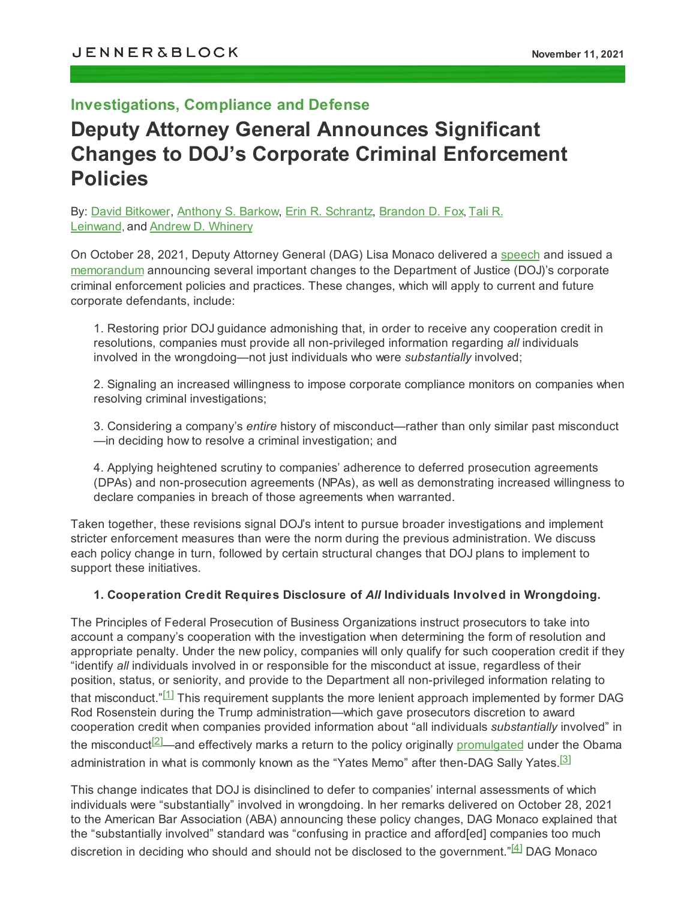# **Investigations, Compliance and Defense**

# **Deputy Attorney General Announces Significant Changes to DOJ's Corporate Criminal Enforcement Policies**

By: David [Bitkower,](https://jenner.com/people/DavidBitkower) [Anthony](https://jenner.com/people/AnthonyBarkow) S. Barkow, Erin R. [Schrantz,](https://jenner.com/people/ErinSchrantz) [Brandon](https://jenner.com/people/BrandonFox) D. Fox, [Tali](https://jenner.com/people/TaliLeinwand) R. [Leinwand](https://jenner.com/people/TaliLeinwand), and Andrew D. [Whinery](https://jenner.com/people/AndrewWhinery)

On October 28, 2021, Deputy Attorney General (DAG) Lisa Monaco delivered a [speech](https://www.justice.gov/opa/speech/deputy-attorney-general-lisa-o-monaco-gives-keynote-address-abas-36th-national-institute) and issued a [memorandum](https://www.justice.gov/dag/page/file/1445106/download) announcing several important changes to the Department of Justice (DOJ)'s corporate criminal enforcement policies and practices. These changes, which will apply to current and future corporate defendants, include:

1. Restoring prior DOJ guidance admonishing that, in order to receive any cooperation credit in resolutions, companies must provide all non-privileged information regarding *all* individuals involved in the wrongdoing—not just individuals who were *substantially* involved;

2. Signaling an increased willingness to impose corporate compliance monitors on companies when resolving criminal investigations;

3. Considering a company's *entire* history of misconduct—rather than only similar past misconduct —in deciding how to resolve a criminal investigation; and

4. Applying heightened scrutiny to companies' adherence to deferred prosecution agreements (DPAs) and non-prosecution agreements (NPAs), as well as demonstrating increased willingness to declare companies in breach of those agreements when warranted.

Taken together, these revisions signal DOJ's intent to pursue broader investigations and implement stricter enforcement measures than were the norm during the previous administration. We discuss each policy change in turn, followed by certain structural changes that DOJ plans to implement to support these initiatives.

#### **1. Cooperation Credit Requires Disclosure of** *All* **Individuals Involved in Wrongdoing.**

<span id="page-0-0"></span>The Principles of Federal Prosecution of Business Organizations instruct prosecutors to take into account a company's cooperation with the investigation when determining the form of resolution and appropriate penalty. Under the new policy, companies will only qualify for such cooperation credit if they "identify *all* individuals involved in or responsible for the misconduct at issue, regardless of their position, status, or seniority, and provide to the Department all non-privileged information relating to that misconduct." $^{[1]}$  $^{[1]}$  $^{[1]}$  This requirement supplants the more lenient approach implemented by former DAG Rod Rosenstein during the Trump administration—which gave prosecutors discretion to award cooperation credit when companies provided information about "all individuals *substantially* involved" in the misconduct<sup>[<u>2]</u>\_\_</sup>and effectively marks a return to the policy originally <u>[promulgated](https://www.justice.gov/archives/dag/file/769036/download)</u> under the Obama administration in what is commonly known as the "Yates Memo" after then-DAG Sally Yates.<sup>[<u>3</u>]</sup>

<span id="page-0-3"></span><span id="page-0-2"></span><span id="page-0-1"></span>This change indicates that DOJ is disinclined to defer to companies' internal assessments of which individuals were "substantially" involved in wrongdoing. In her remarks delivered on October 28, 2021 to the American Bar Association (ABA) announcing these policy changes, DAG Monaco explained that the "substantially involved" standard was "confusing in practice and afford[ed] companies too much discretion in deciding who should and should not be disclosed to the government." $^{[4]}$  $^{[4]}$  $^{[4]}$  $^{[4]}$  DAG Monaco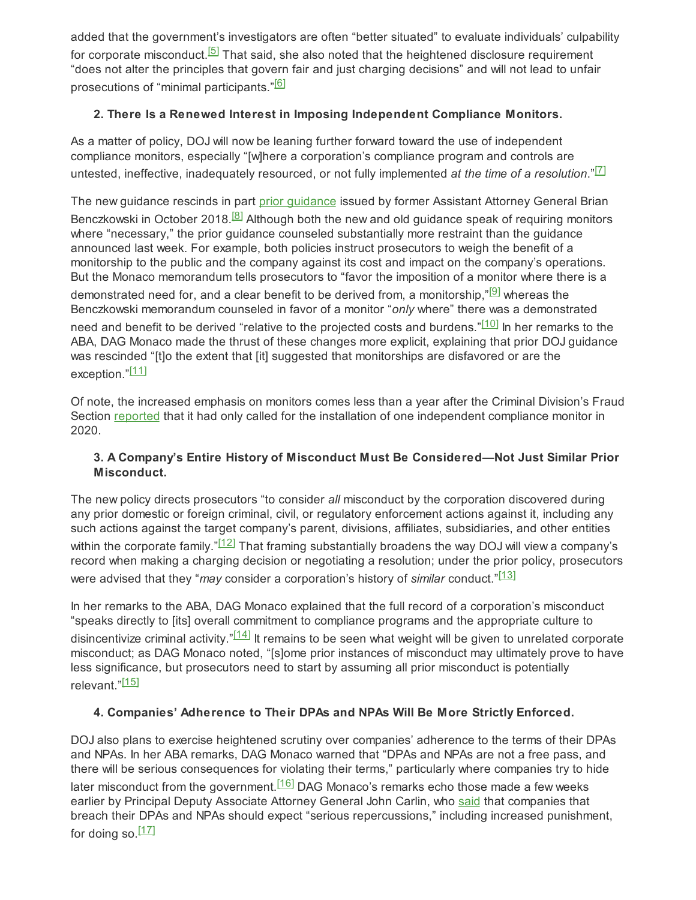added that the government's investigators are often "better situated" to evaluate individuals' culpability for corporate misconduct.<sup>[<u>5</u>]</sup> That said, she also noted that the heightened disclosure requirement "does not alter the principles that govern fair and just charging decisions" and will not lead to unfair prosecutions of "minimal participants."<u><sup>[\[6\]](#page-4-5)</sup></u>

## <span id="page-1-2"></span><span id="page-1-1"></span><span id="page-1-0"></span>**2. There Is a Renewed Interest in Imposing Independent Compliance Monitors.**

As a matter of policy, DOJ will now be leaning further forward toward the use of independent compliance monitors, especially "[w]here a corporation's compliance program and controls are untested, ineffective, inadequately resourced, or not fully implemented *at the time of a resolution*." [\[7\]](#page-4-6)

<span id="page-1-3"></span>The new guidance rescinds in part prior [guidance](https://www.justice.gov/opa/speech/file/1100531/download) issued by former Assistant Attorney General Brian Benczkowski in October 2018.<sup>[\[8\]](#page-4-7)</sup> Although both the new and old guidance speak of requiring monitors where "necessary," the prior guidance counseled substantially more restraint than the guidance announced last week. For example, both policies instruct prosecutors to weigh the benefit of a monitorship to the public and the company against its cost and impact on the company's operations. But the Monaco memorandum tells prosecutors to "favor the imposition of a monitor where there is a demonstrated need for, and a clear benefit to be derived from, a monitorship," $\left[ \text{\textdegree}\right]$  whereas the Benczkowski memorandum counseled in favor of a monitor "*only* where" there was a demonstrated need and benefit to be derived "relative to the projected costs and burdens." $^{[10]}$  $^{[10]}$  $^{[10]}$  ln her remarks to the ABA, DAG Monaco made the thrust of these changes more explicit, explaining that prior DOJ guidance was rescinded "[t]o the extent that [it] suggested that monitorships are disfavored or are the exception."<u>[11</u>]

<span id="page-1-6"></span>Of note, the increased emphasis on monitors comes less than a year after the Criminal Division's Fraud Section [reported](https://www.law360.com/articles/1362108/key-insights-from-doj-s-2020-fraud-enforcement) that it had only called for the installation of one independent compliance monitor in 2020.

## <span id="page-1-8"></span><span id="page-1-7"></span><span id="page-1-5"></span><span id="page-1-4"></span>**3. A Company's Entire History of Misconduct Must Be Considered—Not Just Similar Prior Misconduct.**

The new policy directs prosecutors "to consider *all* misconduct by the corporation discovered during any prior domestic or foreign criminal, civil, or regulatory enforcement actions against it, including any such actions against the target company's parent, divisions, affiliates, subsidiaries, and other entities within the corporate family." $^{[12]}$  $^{[12]}$  $^{[12]}$  That framing substantially broadens the way DOJ will view a company's record when making a charging decision or negotiating a resolution; under the prior policy, prosecutors were advised that they "*may* consider a corporation's history of *similar* conduct." [\[13\]](#page-4-12)

In her remarks to the ABA, DAG Monaco explained that the full record of a corporation's misconduct "speaks directly to [its] overall commitment to compliance programs and the appropriate culture to disincentivize criminal activity." $\frac{[14]}{]}$  $\frac{[14]}{]}$  $\frac{[14]}{]}$  It remains to be seen what weight will be given to unrelated corporate misconduct; as DAG Monaco noted, "[s]ome prior instances of misconduct may ultimately prove to have less significance, but prosecutors need to start by assuming all prior misconduct is potentially relevant."<mark>[15</mark>]

# <span id="page-1-11"></span><span id="page-1-10"></span><span id="page-1-9"></span>**4. Companies' Adherence to Their DPAs and NPAs Will Be More Strictly Enforced.**

<span id="page-1-12"></span>DOJ also plans to exercise heightened scrutiny over companies' adherence to the terms of their DPAs and NPAs. In her ABA remarks, DAG Monaco warned that "DPAs and NPAs are not a free pass, and there will be serious consequences for violating their terms," particularly where companies try to hide later misconduct from the government.<sup>[\[16\]](#page-4-15)</sup> DAG Monaco's remarks echo those made a few weeks earlier by Principal Deputy Associate Attorney General John Carlin, who [said](https://globalinvestigationsreview.com/news-and-features/in-house/2020/article/john-carlin-stepping-doj-corporate-enforcement) that companies that breach their DPAs and NPAs should expect "serious repercussions," including increased punishment, for doing so.<sup>[\[17\]](#page-4-16)</sup>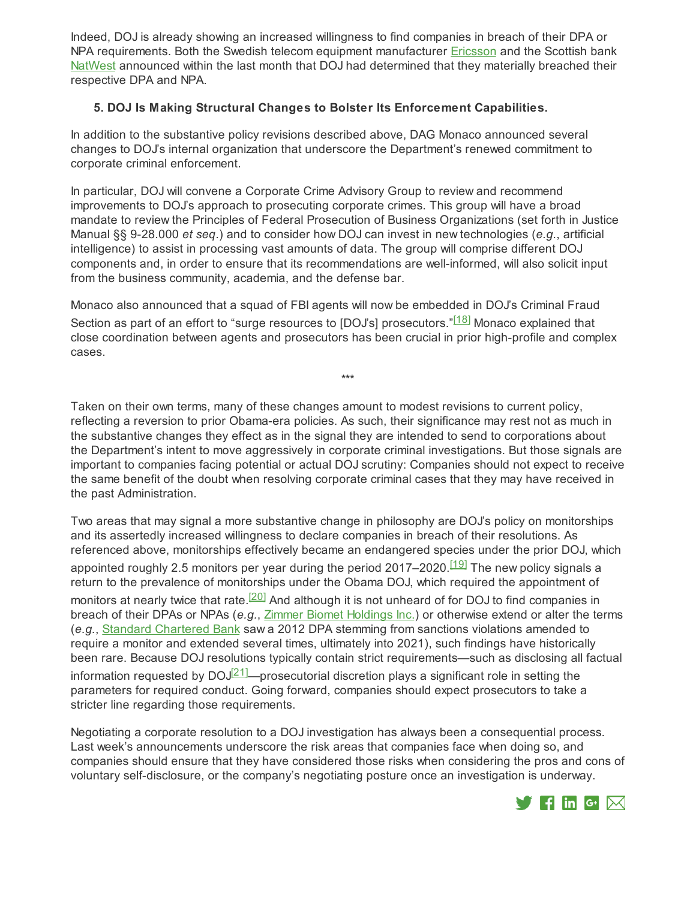Indeed, DOJ is already showing an increased willingness to find companies in breach of their DPA or NPA requirements. Both the Swedish telecom equipment manufacturer [Ericsson](https://www.reuters.com/technology/ericsson-says-us-doj-advises-it-breached-obligations-under-dpa-2021-10-21/) and the Scottish bank [NatWest](https://www.bloomberg.com/news/articles/2021-10-28/u-s-tells-natwest-spoofing-case-breaches-non-prosecution-deal) announced within the last month that DOJ had determined that they materially breached their respective DPA and NPA.

#### **5. DOJ Is Making Structural Changes to Bolster Its Enforcement Capabilities.**

In addition to the substantive policy revisions described above, DAG Monaco announced several changes to DOJ's internal organization that underscore the Department's renewed commitment to corporate criminal enforcement.

In particular, DOJ will convene a Corporate Crime Advisory Group to review and recommend improvements to DOJ's approach to prosecuting corporate crimes. This group will have a broad mandate to review the Principles of Federal Prosecution of Business Organizations (set forth in Justice Manual §§ 9-28.000 *et seq*.) and to consider how DOJ can invest in new technologies (*e.g.*, artificial intelligence) to assist in processing vast amounts of data. The group will comprise different DOJ components and, in order to ensure that its recommendations are well-informed, will also solicit input from the business community, academia, and the defense bar.

Monaco also announced that a squad of FBI agents will now be embedded in DOJ's Criminal Fraud Section as part of an effort to "surge resources to [DOJ's] prosecutors." $^{\left[ 18\right] }$  Monaco explained that close coordination between agents and prosecutors has been crucial in prior high-profile and complex cases.

<span id="page-2-1"></span><span id="page-2-0"></span>\*\*\*

Taken on their own terms, many of these changes amount to modest revisions to current policy, reflecting a reversion to prior Obama-era policies. As such, their significance may rest not as much in the substantive changes they effect as in the signal they are intended to send to corporations about the Department's intent to move aggressively in corporate criminal investigations. But those signals are important to companies facing potential or actual DOJ scrutiny: Companies should not expect to receive the same benefit of the doubt when resolving corporate criminal cases that they may have received in the past Administration.

<span id="page-2-2"></span>Two areas that may signal a more substantive change in philosophy are DOJ's policy on monitorships and its assertedly increased willingness to declare companies in breach of their resolutions. As referenced above, monitorships effectively became an endangered species under the prior DOJ, which appointed roughly 2.5 monitors per year during the period 2017–2020.<sup>[\[19\]](#page-4-18)</sup> The new policy signals a return to the prevalence of monitorships under the Obama DOJ, which required the appointment of monitors at nearly twice that rate.<sup>[\[20\]](#page-4-19)</sup> And although it is not unheard of for DOJ to find companies in breach of their DPAs or NPAs (*e.g.*, Zimmer Biomet [Holdings](https://www.justice.gov/opa/pr/zimmer-biomet-holdings-inc-agrees-pay-174-million-resolve-foreign-corrupt-practices-act) Inc.) or otherwise extend or alter the terms (*e.g.*, Standard [Chartered](https://www.justice.gov/opa/pr/standard-chartered-bank-admits-illegally-processing-transactions-violation-iranian-sanctions) Bank saw a 2012 DPA stemming from sanctions violations amended to require a monitor and extended several times, ultimately into 2021), such findings have historically been rare. Because DOJ resolutions typically contain strict requirements—such as disclosing all factual information requested by DOJ $^{[21]}$  $^{[21]}$  $^{[21]}$ —prosecutorial discretion plays a significant role in setting the parameters for required conduct. Going forward, companies should expect prosecutors to take a stricter line regarding those requirements.

<span id="page-2-3"></span>Negotiating a corporate resolution to a DOJ investigation has always been a consequential process. Last week's announcements underscore the risk areas that companies face when doing so, and companies should ensure that they have considered those risks when considering the pros and cons of voluntary self-disclosure, or the company's negotiating posture once an investigation is underway.

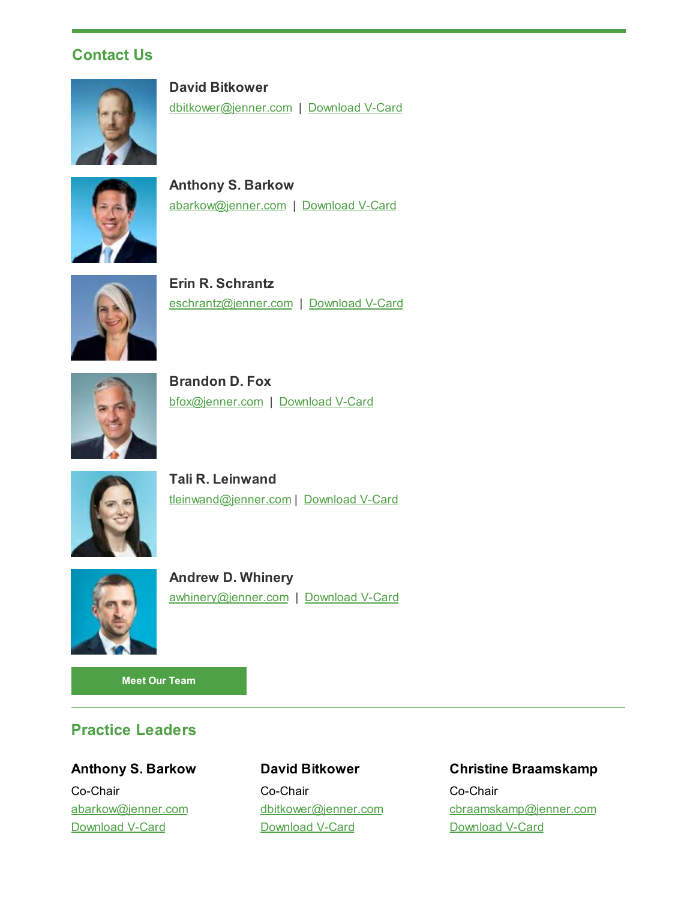# **Contact Us**



**David Bitkower** [dbitkower@jenner.com](mailto:dbitkower@jenner.com) | [Download](https://jenner.com/people/969/vcard) V-Card



**Anthony S. Barkow** [abarkow@jenner.com](mailto:abarkow@jenner.com) | [Download](https://jenner.com/people/563/vcard) V-Card



**Erin R. Schrantz** [eschrantz@jenner.com](mailto:eschrantz@jenner.com) | [Download](https://jenner.com/people/355/vcard) V-Card



**Brandon D. Fox** [bfox@jenner.com](mailto:bfox@jenner.com) | [Download](https://jenner.com/people/978/vcard) V-Card



**Tali R. Leinwand** [tleinwand@jenner.com](mailto:tleinwand@jenner.com) | [Download](https://jenner.com/people/1046/vcard) V-Card



**Andrew D. Whinery** [awhinery@jenner.com](mailto:awhinery@jenner.com) | [Download](https://jenner.com/people/1191/vcard) V-Card

**Meet Our [Team](https://jenner.com/practices/144/attorneys)**

# **Practice Leaders**

**Anthony S. Barkow** Co-Chair [abarkow@jenner.com](mailto:abarkow@jenner.com) [Download](https://jenner.com/people/563/vcard) V-Card

# **David Bitkower**

Co-Chair [dbitkower@jenner.com](mailto:dbitkower@jenner.com) [Download](https://jenner.com/people/969/vcard) V-Card

#### **Christine Braamskamp**

Co-Chair [cbraamskamp@jenner.com](mailto:cbraamskamp@jenner.com) [Download](https://jenner.com/people/1051/vcard) V-Card